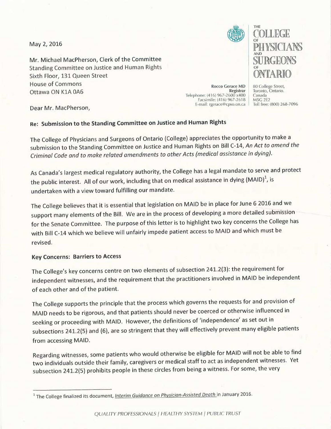May 2, 2016

Mr. Michael MacPherson, Clerk of the Committee Standing Committee on Justice and Human Rights Sixth Floor, 131 Queen Street House of Commons **Exercise 2018** Rocco Gerace MD Ottawa ON K1A OA6 eegistrar



THE COLLEGE  $\mathbb{F}$  in a dividual  $\mathbb{F}$ AND  $\cup$   $\vee$  1/101 $\cup$ 

BO College Street, Toronto, Ontario. Canada M5G 2E2 Toll free: (800) 268-7096

Dear Mr. MacPherson,

## Re: Submission to the Standing Committee on Justice and Human Rights

The College of Physicians and Surgeons of Ontario (College) appreciates the opportunity to make <sup>a</sup> submission to the Standing Committee on Justice and Human Rights on Bill C-14, An Act to amend the Criminal Code and to make related amendments to other Acts (medical assistance in dying).

As Canada's largest medical regulatory authority, the College has a legal mandate to serve and protect the public interest. All of our work, including that on medical assistance in dying (MAID)<sup>1</sup>, is undertaken with a view toward fulfilling our mandate.

The College believes that it is essential that legislation on MAID be in place for June 6 2016 and we support many elements of the Bill. We are in the process of developing a more detailed submission for the Senate Committee. The purpose of this letter is to highlight two key concerns the College has with Bill C-14 which we believe will unfairly impede patient access to MAID and which must be revised.

## Key Concerns: Barriers to Access

The College's key concerns centre on two elements of subsection 241.2(3): the requirement for independent witnesses, and the requirement that the practitioners involved in MAID be independent of each other and of the patient.

The College supports the principle that the process which governs the requests for and provision of MAID needs to be rigorous, and that patients should never be coerced or otherwise influenced in seeking or proceeding with MAID. However, the definitions of 'independence' as set out in subsections 241.2(5) and (6), are so stringent that they will effectively prevent many eligible patients from accessing MAID.

Regarding witnesses, some patients who would otherwise be eligible for MAID will not be able to find two individuals outside their family, caregivers or medical staff to act as independent witnesses. Yet subsection 241.2(5) prohibits people in these circles from being a witness. For some, the very

<sup>&</sup>lt;sup>1</sup> The College finalized its document, *Interim Guidance on Physician-Assisted Death* in January 2016.